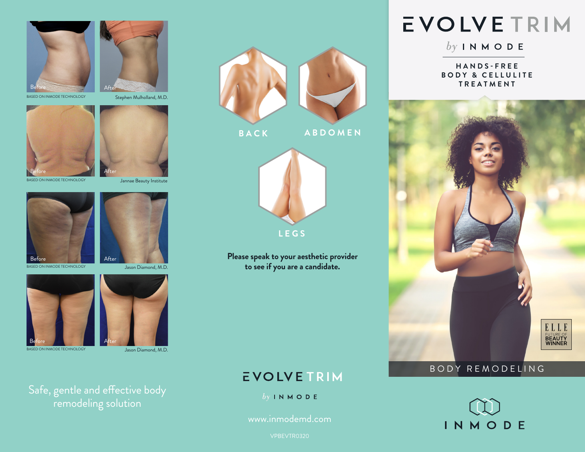



BASED ON INMODE TECHNOLOGY

Stephen Mulholland, M.D.





BASED ON INMODE TECHNOLOGY

Jannae Beauty Institute







BASED ON INMODE TECHNOLOGY



Jason Diamond, M.D.

Safe, gentle and effective body remodeling solution



**Please speak to your aesthetic provider to see if you are a candidate.**

### **EVOLVETRIM**

 $by INMODE$ 

www.inmodemd.com

# EVOLVETRIM

 $by INMODE$ 

**H A N D S - F R E E BODY & CELLULITE T R E A T M E N T**



### BODY REMODELING